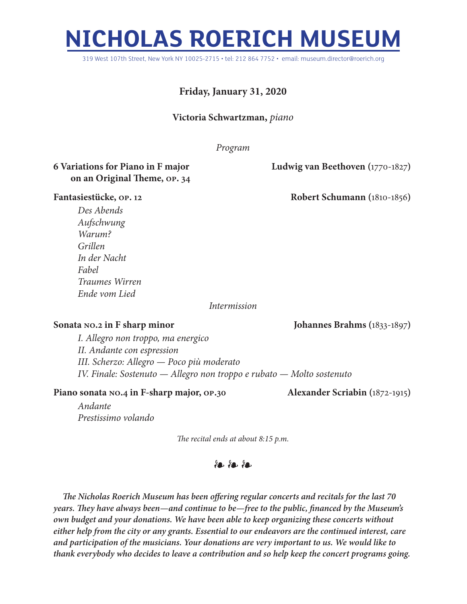# **NICHOLAS ROERICH MUSEUM**

319 West 107th Street, New York NY 10025-2715 • tel: 212 864 7752 • email: museum.director@roerich.org

## **Friday, January 31, 2020**

#### **Victoria Schwartzman,** *piano*

*Program*

### **6 Variations for Piano in F major Ludwig van Beethoven (**1770-1827**) on an Original Theme, op. 34**

**Fantasiestücke, op. 12 Robert Schumann (**1810-1856**)**

*Des Abends Aufschwung Warum? Grillen In der Nacht Fabel Traumes Wirren Ende vom Lied*

#### *Intermission*

**Sonata no.2 in F sharp minor Johannes Brahms (**1833-1897**)**

*I. Allegro non troppo, ma energico II. Andante con espression III. Scherzo: Allegro — Poco più moderato IV. Finale: Sostenuto — Allegro non troppo e rubato — Molto sostenuto* 

#### **Piano sonata no.4 in F-sharp major, op.30 Alexander Scriabin (**1872-1915**)**

*Andante Prestissimo volando*

*The recital ends at about 8:15 p.m.*

## $%$

*The Nicholas Roerich Museum has been offering regular concerts and recitals for the last 70 years. They have always been—and continue to be—free to the public, financed by the Museum's own budget and your donations. We have been able to keep organizing these concerts without either help from the city or any grants. Essential to our endeavors are the continued interest, care and participation of the musicians. Your donations are very important to us. We would like to thank everybody who decides to leave a contribution and so help keep the concert programs going.*